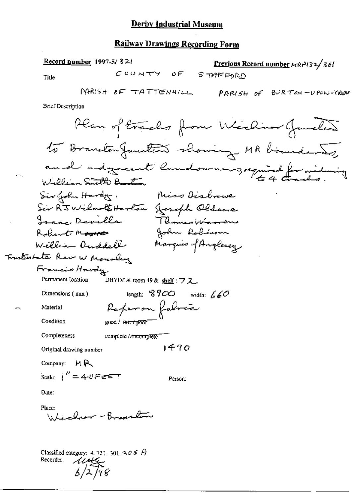#### **Railway Drawings Recording Form**

Record number 1997-5/32/ Previous Record number  $M\approx 2/36$  $C$ CONTY OF STAFFORD Title PARISH OF TATTENHILL PARISH OF BURTON-UPON-TREAT **Brief Description** Plan of tracks from Wieling Junction to Branston Junction showing MR bisundances and adjust landowners, required for widowing William Smith Bank Siv John Hardy. Miss Disbrowe Sir Rit Wilmoth Harlow Joseph Oldscre Isaac Deville Thomas Warren John Robinson Robert Moore Marquis of Anglesey William Duddell Trasterobata Raw W Mousley Francis Hardy DBYIM & room 49 & shell:  $72$ Permanent Iocation length:  $8900$  width:  $660$ Dimensions (mm) Raferon folocia Material Condition good / Free / poor Completeness complete / incomplete 1490 Original drawing number Company:  $M R$ Scale:  $i'' = 4$ -0 $e$ eet Person. Date: Place: Whichar -Branston

> Classified category: 4, 721, 301,  $305$  A  $\frac{1}{16}$ Recorder: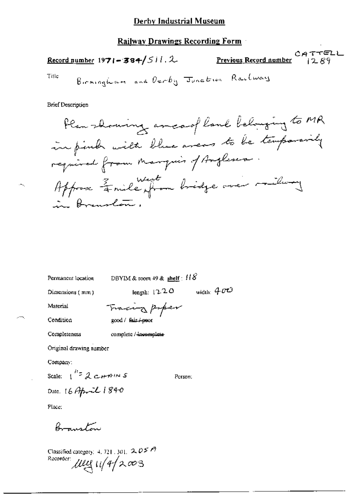## Record number 1971-384/511.2

 $CATTELL$ <br> $1289$ Previous Record number

Title

**Brief Description** 

Ham-blowning area of land belonging to MR

\nim pimbr milit blue areas to be temperature

\nreprint from mapping of Anglener:

\nAfterpose 
$$
\frac{2}{4}
$$
 mile from bridge over milli-1

\nin Brownular,

Permanent location

DBYIM & room 49 & shelf:  $118$ 

Dimensions (mm)

length:  $1220$  width:  $400$ 

Material

Tracing paper good / fair / poor

Condition Completeness

complete / incomplete

Original drawing number

Company:

Scale:  $1^{1/2}$   $2$   $\epsilon$ *HAINS* 

Date: 16 April 1840

Person;

Place:

Branston

Classified category:  $4.721$ , 301,  $2.05$   $\approx$ Recorder uly 11/4/2003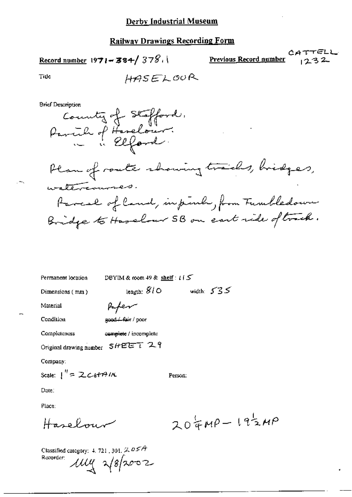$$
\underline{\text{Record number}} 1971 - 384 / 378.
$$

ィミム Previous Record number

Tide

**Brief Description** 



Plan of route showing trails, bridges, watercourses. Parcel of Cand, inpink, from Fundledown Bridge to Haselow 5B on eart ride of touch.

Permanent location

DBYIM & room 49 & shelf:  $t \in S$ 

Dimensions (mm)

width:  $535$ length:  $810^{\circ}$ 

Person:

Material Condition

Paper good. fair / poor

**Completeness** complete / incomplete

Original drawing number 5HEET 29

Company:

Scale:  $1'' = 2c$  of A/K

Dute:

Place:

Haselow

 $204MP - 192MP$ 

Classified category: 4, 721, 301,  $2.05A$ Recorder:  $\mu$ uy  $\sqrt{g}$ 2002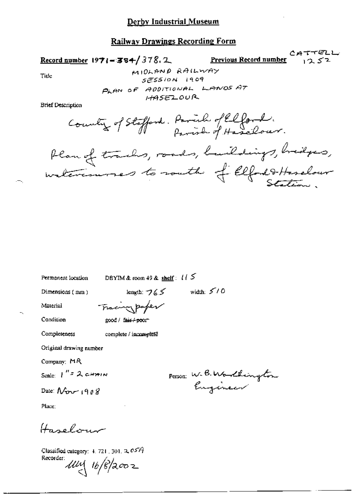#### **Railway Drawings Recording Form**

Record number  $1971 - 384 / 378.2$ 

Previous Record number

CATTELL  $1252$ 

Tide

MIOLAND RAILWAY  $5E5510N$  1909 PLAN OF ADDITIONAL LANDS AT  $HASELOUR$ 

**Brief Description** 

Country of Stafford. Parish of Elford.

Plan of tracks, roads, buildings, bridges,

Permanent location

DBYIM & room 49 & shelf:  $115$ 

Dimensions (mm)

length:  $765$  width:  $510$ 

Material Condition Tracing paper good / fair / poor

Completeness

complete / incomplete

Original drawing number

Company: MR

Scale  $I'' = 2$  chain

Date:  $\Lambda$   $\sim$   $(908$ 

Person: W.B.Worldington

Place:

Hagelow

Classified category:  $4.721$ ,  $301$ ,  $2.057$ Recorder:  $\mathcal{U}\mathcal{U}\setminus 16/8/2002$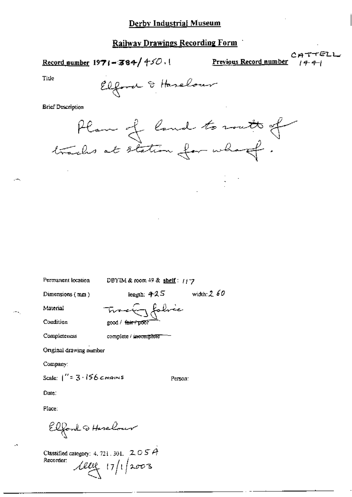Record number  $1971 - 384 / 450$ .

Previous Record number

التقاسم

Title

Elfard & Haselour

**Brief Description** 

Plan of land to rout of

Permanent location

DBYIM & room 49 & shelf: 1177

Dimensions (mm)

length:  $425$  width:  $260$ 

Person:

Material Condition Tracky folice good / <del>fair / p</del>oof

complete /  $i$  acomplete  $-$ 

Completeness

Original drawing number

Company:

Scale:  $1'' = 3.156$  chains

Date:

Place:

Elfont & Herelow

Classified category: 4, 721, 301,  $205A$ Recorder:  $Aee_{11}|11|2003$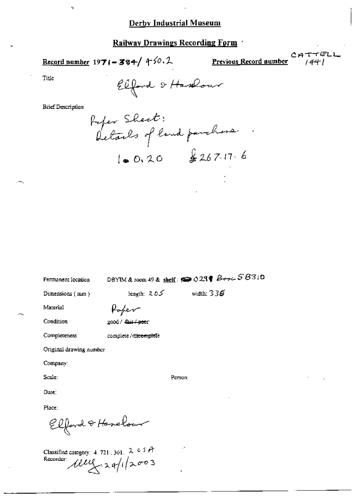#### Railway Drawings Recording Form

Record number  $1971 - 384 / 450.2$ 

Previous Record number

rell 144-1

Title

Elford & Hastour

**Brief Description** 

s,

Rofer Sheet:<br>Details of land parchase.  $10.20$   $267.17.6$ 

Permanent Iocation

DBYIM & room 49 & shelf:  $\bullet$  029  $\bullet$   $\beta$   $\sigma$   $\sim$  58310

length:  $205$  width:  $336$ 

Dimensions (mm)

Poper

Condition

Completeness

Material

good / fair / poor

complete / tincomplete

Original drawing number

Company:

Scale:

Person:

Place:

Date:

Elford & Hanelour

Classified category: 4, 721, 301,  $2 \circ 5$  A Recorder *WWG* 24/1/2003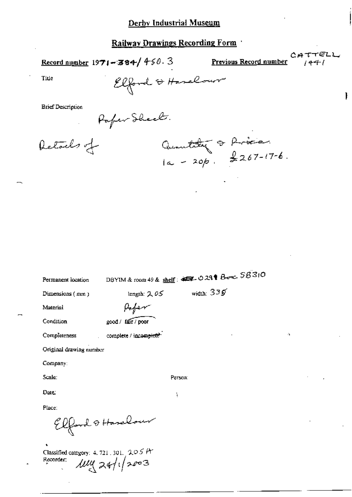Record number  $1971 - 384 / 450.3$ 

Previous Record number

Quantity & Price.<br> $1a - 20b$ ,  $2267-17-6$ .

TELL  $CAT$  $1441$ 

 $\Lambda$ 

ł

Title

Elford & Harelow

**Brief Description** 

Poper Sheet.

Retails of

| Permanent location      |                       | DBYIM & room 49 & shelf: 45, 029 & Booc, 5B310 |
|-------------------------|-----------------------|------------------------------------------------|
| Dimensions (mm)         | length: $2.05$        | width: $336$                                   |
| Material                |                       |                                                |
| Condition               | good / fair / poor    |                                                |
| Completeness            | complete / incomplete |                                                |
| Original drawing number |                       |                                                |
| Company:                |                       |                                                |
| Scale:                  |                       | Person:                                        |
| Date                    |                       | f,                                             |
| Place:                  |                       |                                                |
|                         | Elford & Harelow      |                                                |

Classified category: 4, 721, 301, 205 P Recorder:  $\mu$ uy 24/1/2003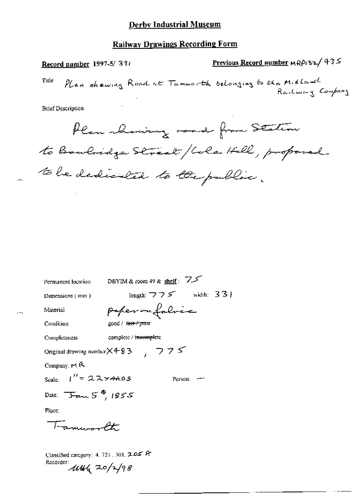Previous Record number MRP132/435 Record number 1997-5/39t Plan shewing Road at Tamworth belonging to the Midland Title Railway Company **Brief Description** Plan showing road from Station to Bowlidge Street/Cole Hell, proponed to be dedicated to the public. Permanent location DBYIM & room 49 & shelf: 7.5 length:  $775$  width: 33) Dimensions (mm) poperoufoloic Material Condition good / tair/poor complete / incomplete Completeness Original drawing number  $\times$  4-83 (775) Company:  $M$  R Scale:  $1'' = 224400s$ Person: -

Date:  $\overline{J}_{\overline{a}}$   $\overline{J}_{\overline{a}}$   $\overline{J}_{\overline{a}}$   $\overline{J}_{\overline{a}}$   $\overline{J}_{\overline{a}}$   $\overline{J}_{\overline{a}}$   $\overline{J}_{\overline{a}}$   $\overline{J}_{\overline{a}}$   $\overline{J}_{\overline{a}}$   $\overline{J}_{\overline{a}}$   $\overline{J}_{\overline{a}}$   $\overline{J}_{\overline{a}}$   $\overline{J}_{\overline{a}}$   $\overline{J}_{\overline{a}}$   $\overline{$ 

Place:

Fancoorth

Classified category: 4, 721, 301, 205 A Recorder: 114/2 20/2/98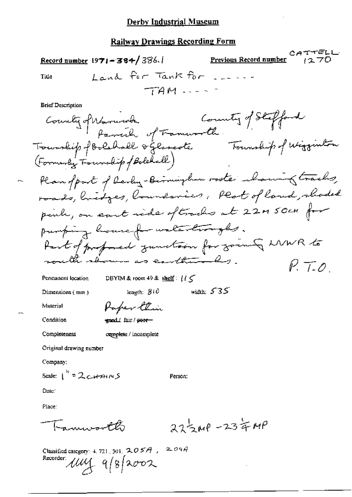CATTELL Record number  $1971 - 384 / 386.1$ Previous Record number Land for Tank for .... Title  $TAM = -$ **Brief Description** Commity of Stafford County of Warnich Grammorth .<br>Foundip of Bolshall of Fammorth .<br>Township of Bolshall of lesseste . Township of Wigginton (Formerly Tourship / Bolehall) Plan of part of develop-Biomingham rooter charing tracks, roads, hidges, boundaries, Plat of land, shaded pink, on eart ride oftraches at 22MSOCH for pumping housefor watertroughs. Part of professed zundtoon for zoung LNWR to would show as cartherinks.  $P. 7.0$ DBYIM & room 49 & shelf:  $1/\zeta$ Permanent location width:  $535$ length:  $310$ Dimensions (mm) Paper Etin Material eand fair / poor-Condition Completeness complete / incomplete Original drawing number Company: Scale:  $1^{k}$  = 2 crains Person: Date: Place:  $27540 - 2340$ Engangement B Classified category: 4, 721, 301,  $205A$ ,  $204A$ Recorder uny 9/8/2002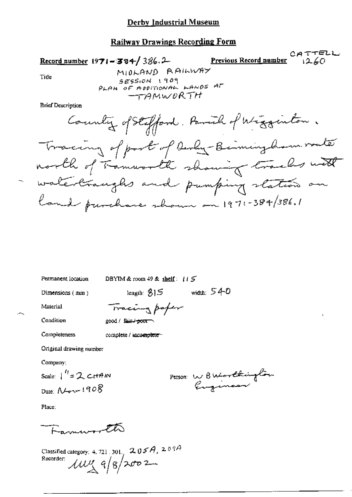#### **Railway Drawings Recording Form**

 $CATTELL$ Record number 1971-384/386.2 Previous Record number  $1260$ MIOLAND RAILWAY Tide SESSION 1909 PLAN OF ADDITIONAL LANDS AT  $-TAMWORTH$ **Brief Description** County of Stafford, Parish of Wigginton. Tracing of port of Rever Beimingham router north of Transvorth shawing tracks with - waterbraught and pumping stations on

land purchase shown on 1971-384/386.1

Permanent location

DBYIM & room 49 & shelf:  $115$ 

Dimensions (mm)

length:  $815$  width:  $540$ 

Material Condition

Tracing poper good / fair / poor

complete / incomplete

Original drawing number

Company;

Completeness

Scale:  $\int_0^{t} z \, \mathcal{L} \, dt dm$ Date:  $N_{\rm env}$  1908

Person W Butarthington

Place:

Farmer the

Classified category: 4, 721, 301.,  $205A$ ,  $209A$ Recorder:  $\mu v_{\lambda} q/g/2002$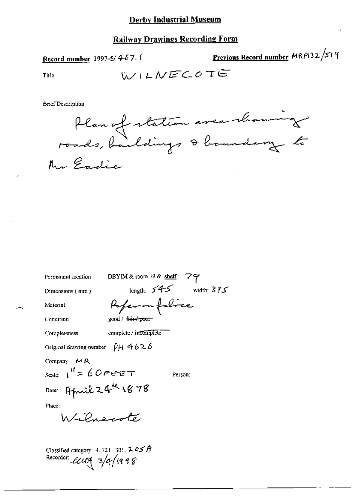## **Railway Drawings Recording Form**

Record number 1997-5/4-67.

Title

**Brief Description** 



| DBYIM & room $49$ & shelf: $79$<br>Permanent location                                                                                                    |              |
|----------------------------------------------------------------------------------------------------------------------------------------------------------|--------------|
| length: $545$<br>Dimensions $(mn)$                                                                                                                       | width: $375$ |
| Poper on folice<br>Material                                                                                                                              |              |
| Condition<br>eood / <del>face coor</del>                                                                                                                 |              |
| complete / incomplete<br>Completeness                                                                                                                    |              |
| Original drawing number $\rho_H + 626$                                                                                                                   |              |
| Company: $\mathsf{M} \mathsf{R}$<br>scale: $1'' = 60$ $\epsilon$ $\epsilon$ $\epsilon$ $\tau$<br>Person:<br>Date: April 24th 1878<br>Place:<br>Wilnecote |              |
| Classified category: 4, 721, 301, $205$ A<br>Recorder: <i>LUC</i> S 3/4/1998                                                                             |              |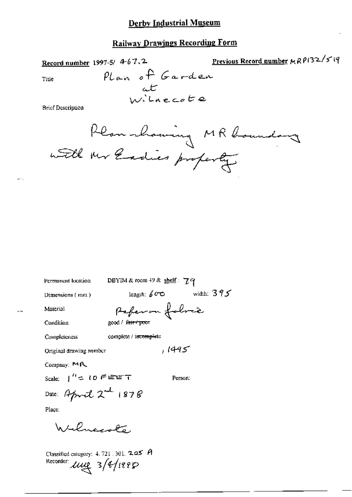Previous Record number MRP132/519

Record number 1997-5/ 4-6-7, 2.

Plan of Garden<br>at

**Brief Description** 

Title

Permanent location

DBYIM & room 49 & shelf:  $79$ 

Dimensions (mm)

length:  $60^\circ$  width:  $395^\circ$ Ilvie

Material Condition

Completeness

complete / incomplete

Original drawing number

Company: MR

Scale:  $\int^{T_1}$   $\leq$  10  $\in$  EET

Person:

 $1495$ 

Date: April  $2^{-d}$  1878

Place:

Wilmeeste

Classified category:  $4.721$ ,  $301$ ,  $2.25$  A Recorder une 3/4/1995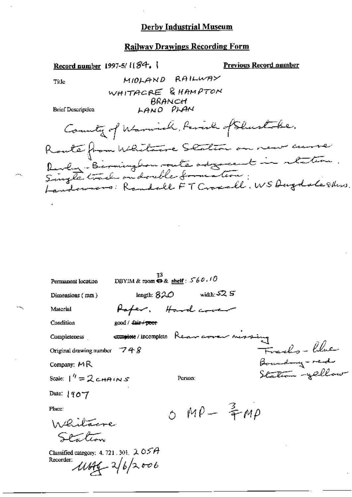#### **Railway Drawings Recording Form**

Record number 1997-5/1184.

**Previous Record number** 

Title

MIOLAND RAILWAY WHITACRE & HAMPTON BRANCH LAND PLAN

**Brief Description** 

County of Warnich, Period of Shustobe. Route from Whitane Station on near curre<br>Revlag: Birmingbour, oute adjoint in retation.<br>Single track on double formation:<br>Landowners: Randall FT Croscall. WS Dugdale Edus.

| Permanent location                                                       | 73<br>DBYIM & room $\Theta$ & shelf: $560.10$ |  |
|--------------------------------------------------------------------------|-----------------------------------------------|--|
| Dimensions (mm)                                                          | width: $52.5$<br>length: $820$                |  |
| Material                                                                 | Rafer, Hard cover                             |  |
| Condition                                                                | good / fair / poer                            |  |
| Completeness                                                             | complete/incomplete Rear averer nerraing      |  |
| Original drawing number $-748$                                           | Freeho-blue                                   |  |
| Company: $M \mathbb{R}$                                                  | Boundary - red                                |  |
| Scale: $1'' = 2$ c $\theta$ (N $\sigma$                                  | Station -yellow<br>Person:                    |  |
| Date: $190 - 7$                                                          |                                               |  |
| Place:                                                                   | $OMP - \frac{2}{3}MP$                         |  |
| Whitacre                                                                 |                                               |  |
| Sention                                                                  |                                               |  |
| Classified category: 4, 721, 301, $2OSA$<br>Recorder:<br>$1446 - 262006$ |                                               |  |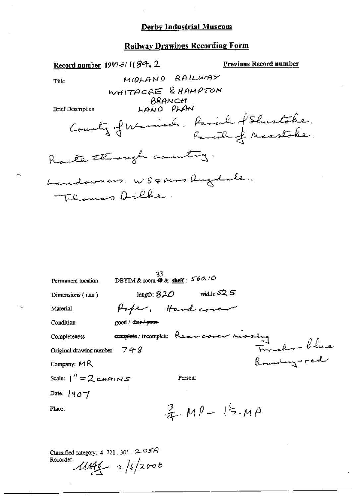#### **Railway Drawings Recording Form**

Record number 1997-5/ 1(84.2 Previous Record number MIDLAND RAILWAY Title WHITACRE & HAMPTON BRANCH LAND PLAN **Brief Description** County of Warning. Parish of Shurtoke. Route through country. Landowners WSQNers Rugdale.

| Permanent location                                 | 33<br>DBYIM & room $\overline{\boldsymbol{\Theta}}$ & shelf: $560.10$ |
|----------------------------------------------------|-----------------------------------------------------------------------|
| Dimensions (mm)                                    | width: $52.5$<br>length: $820$                                        |
| Material                                           | Paper, Handcover                                                      |
| Condition                                          | good / fair / poor                                                    |
| Completeness                                       | <del>august</del> e/incomplete Rear cover mossing                     |
| Original drawing number $\overline{7}$ + $\hat{8}$ | Franks-blue<br>Bounding-red                                           |
| Company: MR                                        |                                                                       |
| Scale: $1'' = 2$ chains                            | Person:                                                               |
| Date: $\{90\}$                                     |                                                                       |
| Place:                                             | $2 M P - 12 M P$                                                      |
|                                                    |                                                                       |

Classified category: 4, 721, 301,  $205A$ Recorder:  $1144 - 16/2006$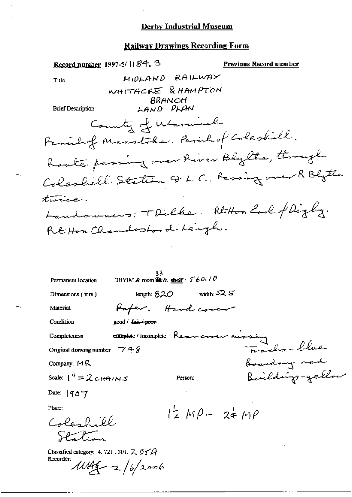l,

# **Railway Drawings Recording Form**

| Record number 1997-5/1184. 3                                                                 | <b>Previous Record number</b> |
|----------------------------------------------------------------------------------------------|-------------------------------|
| MIDLAND RAILWAY<br>Title                                                                     |                               |
| WHITACRE & HAMPTON<br>BRANCH<br><b>Brief Description</b><br>LAND PLAN                        |                               |
| County of Warnicell                                                                          |                               |
| Family Masstoke. Parish of Coleshill.                                                        |                               |
| Roake passing over River Bly the, through                                                    |                               |
| Colashill Station Q L C. Passing over R Blytte                                               |                               |
| twice.                                                                                       |                               |
| Landowners: TDilke. RtHon Land of Digby.                                                     |                               |
| REHon Chandroional Leigh.                                                                    |                               |
|                                                                                              |                               |
| 33.<br>DBYIM & room $\mathcal{R} \& \underline{\text{shell}}$ : 560.10<br>Permanent location |                               |
| length: $820$ width: $525$<br>Dimensions (mm)                                                |                               |
| Haper. Hand cover<br>Material                                                                |                               |
| good / <del>fair / poor</del><br>Condition                                                   |                               |
| <b>Emploie</b> /incomplete Removement mostage<br>Completeness                                |                               |
| Original drawing number $-748$                                                               | Tracks-blue                   |
| Company: $MR$                                                                                | boundary need                 |
| Scale: $1''=Z$ c HAINS<br>Person:                                                            | Building-yellow               |
| Date: $ 90^{\circ}7 $                                                                        |                               |
| Place:<br>$12 MP - 34 MP$                                                                    |                               |
| Colorbill<br>Station                                                                         |                               |
| Classified category: 4. 721. 301. $\lambda$ $\sigma$ $\sigma$ $\rightarrow$                  |                               |
| Recorder:<br>$11146 - 2/6/2006$                                                              |                               |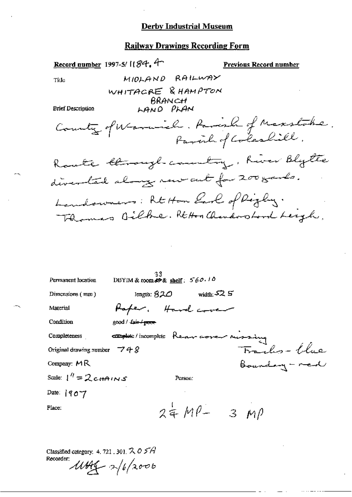## **Railway Drawings Recording Form**

| Record number 1997-5/ $184.4$                  |                                                 |                            | Previous Record number                 |
|------------------------------------------------|-------------------------------------------------|----------------------------|----------------------------------------|
| Title                                          |                                                 | MIOLAND RAILWAY            |                                        |
|                                                | WHITACRE & HAMPTON                              |                            |                                        |
| <b>Brief Description</b>                       | BRANCH<br>LAND PLAN                             |                            |                                        |
|                                                |                                                 |                            |                                        |
|                                                |                                                 |                            | County of Warnich. Parish of Maxstabe. |
|                                                |                                                 |                            | Route through country, have blytte     |
|                                                |                                                 |                            | diverted along now out for 200 gards.  |
|                                                |                                                 |                            | Landowners: Rt Hon Larl of Righty.     |
|                                                |                                                 |                            | Thomas Dilhe. Rtton Chardoopord Leigh, |
|                                                |                                                 |                            |                                        |
|                                                |                                                 |                            |                                        |
|                                                |                                                 |                            |                                        |
| Permanent location                             | 33.<br>DBYIM & room $\&$ shelf: $560.10$        |                            |                                        |
| Dimensions (mm)                                |                                                 | length: $820$ width: $525$ |                                        |
| Material                                       | Hoper. Hardcover                                |                            |                                        |
| Condition                                      | $good /$ Cair $\neq$ prove                      |                            |                                        |
| Completeness                                   | <b>Complete</b> / incomplete Rear cover russing |                            |                                        |
| Original drawing number $-748$                 |                                                 |                            | Traches - Une                          |
| Company: MR                                    |                                                 |                            | Boundary - red                         |
| Scale: $1''$ = 2 c (+A $\iota$ N $\mathcal{S}$ |                                                 | Person:                    |                                        |
| Date: 1907                                     |                                                 |                            |                                        |
| Place:                                         |                                                 | $24 MP - 3 MP$             |                                        |
|                                                |                                                 |                            |                                        |

Classified category. 4, 721, 301,  $205A$ Recorder:  $1044 - 2/6/2000$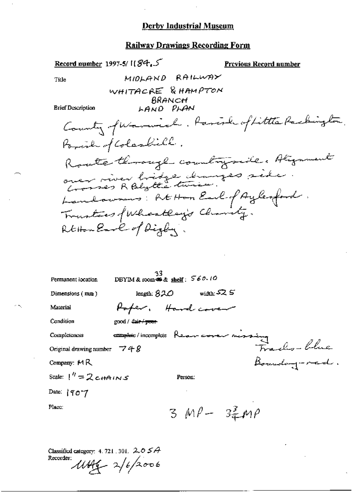## **Railway Drawings Recording Form**

| Eccord number 1997-5/1184.<br><u>Previous Record number</u>                                                                                                                |
|----------------------------------------------------------------------------------------------------------------------------------------------------------------------------|
| MIDLAND RAILWAY<br>Title                                                                                                                                                   |
| WHITACRE & HAMPTON<br>BRANCH<br><b>Brief Description</b><br>LAND PLAN                                                                                                      |
| Country futuriel. Parish of Little Packington.<br>Foral of Coloskill.                                                                                                      |
| Route through country side. Alignment<br>over river bridge changes side<br>Landowners: REHon Earl of Aylenford.<br>Trustees of Wheatlay's Charity.<br>RtHouseave of Digby. |
| 33<br>DBYIM & room $\clubsuit$ & shelf: $560.10$<br>Permanent location<br>width: $52.5$<br>length: $820$<br>Dimensions (mm)<br>Poper. Hard cover<br>Material               |
| Condition<br>good / <del>fair / poor</del>                                                                                                                                 |
| complete/incomplete Rear core nissing<br>748 Frachs-Chie<br>Boundary-red.<br>Completeness                                                                                  |
| Original drawing number $-748$                                                                                                                                             |
| Company: $M R$                                                                                                                                                             |
| Scale: $1'' = 2$ c $\theta$ in $\sigma$<br>Person:                                                                                                                         |
| Date: $190 - 7$                                                                                                                                                            |
| Place:<br>$3 MP - 32 MP$                                                                                                                                                   |

Classified category: 4.721.301. 2.05A<br>Recorder:<br> $\mathcal{M}H_4 \rightarrow 2/6/2006$ 

 $\mathcal{D}_{\mathcal{A}}$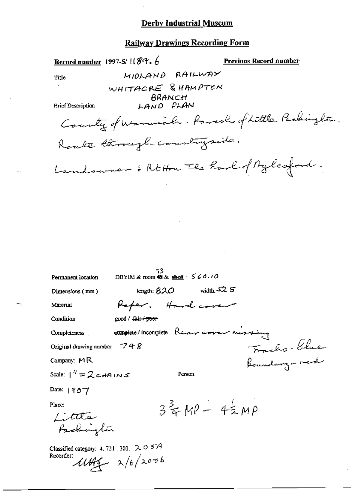#### **Railway Drawings Recording Form**

Record number 1997-5/  $184.6$ 

**Previous Record number** 

Title

MIDLAND RAILWAY WHITACRE & HAMPTON BRANCH

LAND PLAN

**Brief Description** 

County of Warmich. Parcolo of Little Packinglow. Route through countryside. Landswee : Rtton Fle Eure of Aylesford.

| Permanent location                                    | 33.<br>DBYIM & room $48.8$ shelf: $560.10$       |
|-------------------------------------------------------|--------------------------------------------------|
| Dimensions (mm)                                       | width $52S$<br>iength: $820$                     |
| Material                                              | Hoper. Hard cover                                |
| Condition                                             | good / <del>Jair / poor</del>                    |
| Completeness                                          | <b>complete</b> /incomplete Rear averer next ing |
| Original drawing number $-748$                        | Fractis-Clue<br>Boundary-red                     |
| Company: $M_{\rm R}$                                  |                                                  |
| Scale: $1^h = 2$ cHAINS                               | Person:                                          |
| Date: $ 907$                                          |                                                  |
| Place:<br>Little<br>Packinglow                        | $3\frac{2}{3}MP - 42MP$                          |
| Classified category: 4, 721, 301, $205A$<br>Recorder: | $11446 - 2/6/2006$                               |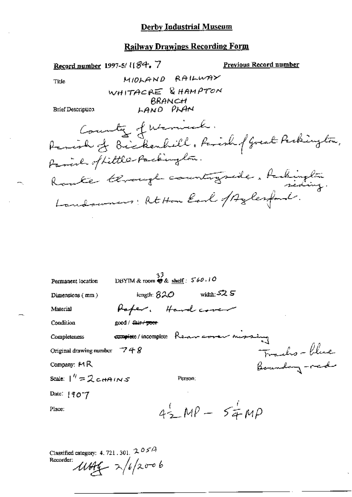#### **Railway Drawings Recording Form**

Record number 1997-5/1184.7 Previous Record number MIOLAND RAILWAY Title WHITACRE & HAMPTON BRANCH LAND PLAN **Brief Description** County of Warnick. Parish of Bickenhill, Farish (Great Perkington, Route terrorege countryside. Aubington

| Permanent location                                      | DBYIM & room @ & shelf: 560,10         |
|---------------------------------------------------------|----------------------------------------|
| Dimensions $(mm)$                                       | width: $525$<br>iength: $820$          |
| Material                                                | Raper. Hand cover                      |
| Condition                                               | good / <i>fai<del>r / poor</del></i>   |
| Completeness                                            | complete/incomplete Rear cover mossing |
| Original drawing number $\overline{7}$ + $\overline{8}$ | Franks-blue<br>Boundary-red            |
| Company: $M R$                                          |                                        |
| Scale: $1'' = 2$ c $\theta$ in $\sigma$                 | Person:                                |
| Date: $190 - 7$                                         |                                        |
| Place:                                                  | $42MP - 54MP$                          |
|                                                         |                                        |
|                                                         |                                        |

Classified category: 4, 721, 301,  $205A$  $100 - 2/6/2006$ Recorder: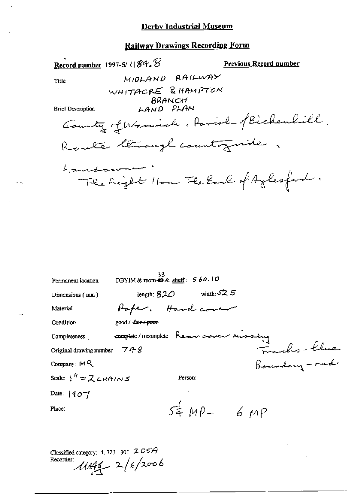$\overline{a}$ 

ж,

## **Railway Drawings Recording Form**

|                                                         | Record number 1997-5/ $\iota$ [ $\mathcal{B}$ 4. $\mathcal{B}$ |                                           | Previous Record number                   |
|---------------------------------------------------------|----------------------------------------------------------------|-------------------------------------------|------------------------------------------|
| Title                                                   |                                                                | MIDLAND RAILWAY                           |                                          |
|                                                         | WHITACRE & HAMPTON                                             | BRANCH                                    |                                          |
| <b>Brief Description</b>                                |                                                                | LAND PLAN                                 |                                          |
|                                                         |                                                                |                                           | County of Warnish, Parish of Bichenlill. |
|                                                         | Rante Chrough country wide                                     |                                           |                                          |
| Lannabournmen                                           |                                                                |                                           |                                          |
|                                                         |                                                                |                                           | The Right Hom The Earl of Aylesford.     |
|                                                         |                                                                |                                           |                                          |
|                                                         |                                                                |                                           |                                          |
|                                                         |                                                                |                                           |                                          |
|                                                         |                                                                |                                           |                                          |
|                                                         |                                                                |                                           |                                          |
|                                                         |                                                                |                                           |                                          |
| Permanent location                                      | 33                                                             | DBYIM & room $\triangle$ & shelf $560.10$ |                                          |
| Dimensions (mm)                                         |                                                                | length; $820$ width: $525$                |                                          |
| Material                                                |                                                                | Hoper. Hand cover                         |                                          |
| Condition                                               | good / fair / poor                                             |                                           |                                          |
| Completeness                                            | complete/incomplete Renew cover mussing                        |                                           |                                          |
| Original drawing number $\overline{7}$ + $\overline{8}$ |                                                                |                                           | Franks-line<br>Boundary-rad              |
| Company: $M$ R                                          |                                                                |                                           |                                          |
| Scale: $\frac{1}{1}$ = 2 cHAINS                         |                                                                | Person:                                   |                                          |
| Date: $(907)$                                           |                                                                |                                           |                                          |
| Place:                                                  |                                                                |                                           | $54 MP - 6 MP$                           |
|                                                         |                                                                |                                           |                                          |
|                                                         |                                                                |                                           |                                          |
|                                                         |                                                                |                                           |                                          |

ä,

Classified category: 4.721.301.205A<br>Recorder:  $\mu$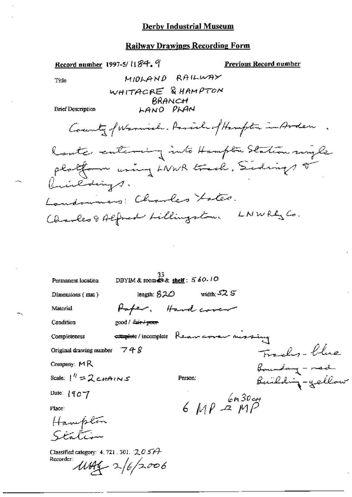## **Railway Drawings Recording Form**

| Record number 1997-5/11 & S <sup>2</sup> 1.             |                                                 |                     |               | <b>Previous Record number</b> |                        |
|---------------------------------------------------------|-------------------------------------------------|---------------------|---------------|-------------------------------|------------------------|
| Title                                                   |                                                 | MIDLAND RAILWAY     |               |                               |                        |
|                                                         | WHITACRE & HAMPTON                              |                     |               |                               |                        |
| Erief Description                                       |                                                 | BRANCH<br>LANO PLAN |               |                               |                        |
|                                                         | County formich. Parish of Hanghton in Arden     |                     |               |                               |                        |
| Rante entering into Hampton Station myle                |                                                 |                     |               |                               |                        |
| platform wing LNWR track, Sidings or<br>buildings.      |                                                 |                     |               |                               |                        |
| Landowners: Charles Lates.                              |                                                 |                     |               |                               |                        |
| Charles & Alfred Lillingston.                           |                                                 |                     |               | LNWRL Co.                     |                        |
|                                                         |                                                 |                     |               |                               |                        |
| Permanent location                                      | DBYIM & room $\otimes$ & shelf: $5/60$ . 10     |                     |               |                               |                        |
| Dimensions (mm)                                         |                                                 | length: $820$       | width: $52.5$ |                               |                        |
| Material                                                |                                                 | Paper. Hand cover   |               |                               |                        |
| Condition                                               | good / <del>fair / poor</del>                   |                     |               |                               |                        |
| Completeness                                            | <b>attaphoto</b> /incomplete Rear corer messing |                     |               |                               |                        |
| Original drawing number $\overline{7}$ + $\overline{8}$ |                                                 |                     |               |                               | Franks-blue            |
| Company: MR<br>Scale: $1'' = 2$ cHAINS                  |                                                 |                     |               | <i>Boundary - red</i>         |                        |
|                                                         |                                                 | Person:             |               |                               | <i>Building-gellow</i> |
| Date: $190 - 7$                                         |                                                 |                     | 6 MP & 60 cm  |                               |                        |
| Place:                                                  |                                                 |                     |               |                               |                        |
| Hampton                                                 |                                                 |                     |               |                               |                        |
| Classified category: 4. 721 . 301. $2057$<br>Recorder:  | $1044 - 2/6/2006$                               |                     |               |                               |                        |

÷.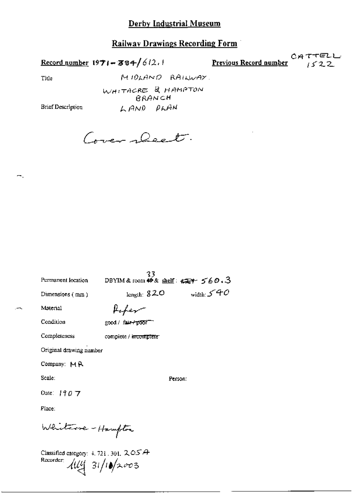Record number  $1971 - 384 / 612.1$ 

**Previous Record number** CATTELL

Title

÷.

WHITACRE & HAMPTON BRANCH LAND PLAN

MIDLAND RAILWAY.

**Brief Description** 

Cover Deet.

| Permanent location      | 33<br>DBYIM & room $46k$ shelf: $560.3$ |              |
|-------------------------|-----------------------------------------|--------------|
| Dimensions (mm)         | length: $820$                           | width: $540$ |
| Material                |                                         |              |
| Condition               | good / fair-/p557                       |              |
| Completeness            | complete / in <del>complete</del>       |              |
| Original drawing number |                                         |              |
| Company: MR             |                                         |              |
| Scale:                  | Person:                                 |              |
| Date: $1907$            |                                         |              |
| Place:                  |                                         |              |
| Whiteve - Hampton       |                                         |              |

Classified category: 4, 721, 301, 2, OSA Recorder:  $31/10/2003$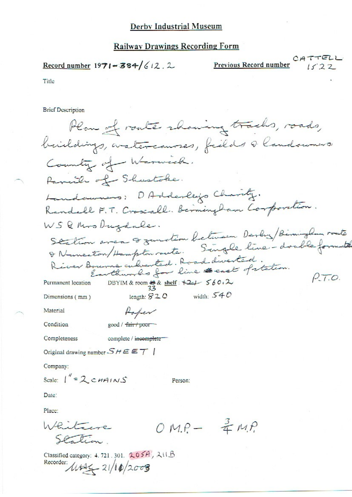Record number  $1971 - 384/612.2$ 

Recorder: 11525-21/10/2003

Previous Record number

Title

**Brief Description** 

Plan of route rhowing tracks, roads, buildings, aratercourses, fields a landowners. County of Warwick. Panil of Shustoke. Landaumens: DAdderleys Charity. Randall F.T. Croscall. Berningham Corporation. WSQMrs Dugdale. Station area & zunction between Derly Birminglan route & Numerton/Hampton route. Single line-double format River Bourne culverted. Road diverted.  $P.70.$ DBYIM & room  $\frac{18}{33}$ & shelf:  $\frac{12}{7}$  560.2 Permanent location width:  $540$ length:  $820$ Dimensions (mm) Material Raper Condition good / fair / poor Completeness complete / incomplete-Original drawing number  $SHEET$ Company: Scale:  $1'' = 2 \text{ cm/10}$ Person: Date: Place:  $OMP - \frac{3}{4}MP$ Whitewe alion Classified category: 4, 721, 301, 205A, 211B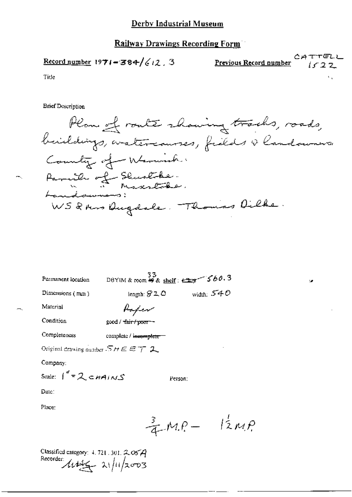Record number 1971-384/
$$
(12, 3
$$

$$
\text{Previous Record number} \qquad \begin{array}{c}\n C \text{A} + F \text{F} \\
\text{I} \text{S} & 2 \text{A}\n \end{array}
$$

٠,

Title

**Brief Description** 

| Permanent location | DBYIM & room 49 & shelf: $\frac{33}{27}$ 560.3 |              |
|--------------------|------------------------------------------------|--------------|
| Dimensions $(mn)$  | length: $320$                                  | width: $540$ |
| Material           | Roper                                          |              |
| Condition          | good / tair/poor-                              |              |

Completeness

complete / innomplete-

Original drawing number  $SHEET$  2

Company:

$$
Scale: \int^{\prime\prime} = 2 \epsilon n A/NS
$$

Date:

Place:

$$
\frac{3}{4}M.P - 12M.P
$$

Person:

3

Classified category: 4.721.301.205A<br>Recorder:<br> $4.142 - 21/11/2003$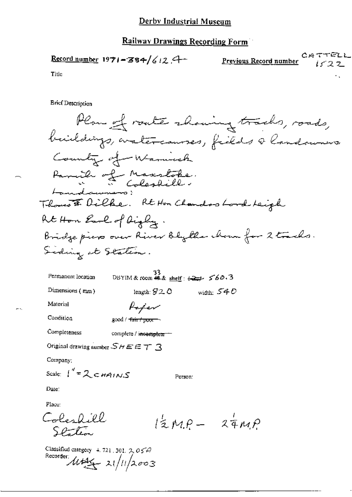#### **Railway Drawings Recording Form**

CATTELL Record number 1971-384/612.4 Previous Record number  $1522$ 

Title

**Brief Description** 

| Permanent location | -22<br>DBYIM & room $42 \times \text{shelf}: 427$ $560.3$ |              |
|--------------------|-----------------------------------------------------------|--------------|
| Dimensions $(mn)$  | length: $S20$                                             | width: $540$ |

Material

Paper good / fair / poor ->

Condition

Completeness complete / incomplete =

Original drawing number  $\mathcal{SHEET}$  3

Company:

Scale:  $1'' = 2 cm + 10 s$ 

Person:

Date:

Place:

Coleshill  $l_z$ MP -  $z_{4MP}$ Station

Classified category 4, 721, 301,  $2, 054$ Recorder  $\mu_{44} = 21/11/2003$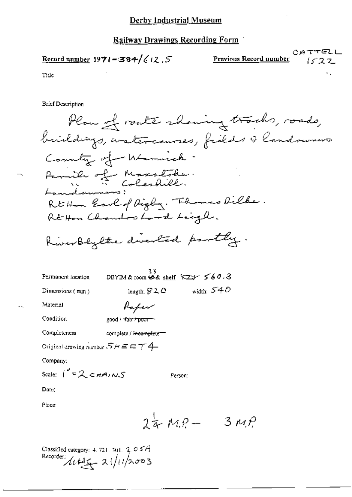$$
\underline{\text{Record number}} 1971 = 384 \cdot \frac{1}{4} \cdot 12.5
$$

Tide

**Brief Description** 

Plan of route showing tracks, roads, buildings, aratercannes, fields & landowners County of Warnick. Parish of Maxstoke Rt Hom Earl of Digby. Themas Dilke. Rt Hon Chandos Lord Leigh. RiverBlylte directed partly.

Person:

 $24MP  $-$  3  $MP$$ 

| Permanent location | DBYIM & room $\stackrel{3}{\leftrightarrow}$ shelf: $\overline{X^2}$ $\rightarrow$ 560.3 |                    |
|--------------------|------------------------------------------------------------------------------------------|--------------------|
| Dimensions $(mn)$  | length: $920$                                                                            | width: $540^\circ$ |
| Material           | Paper                                                                                    |                    |

good / tair / poor

Original drawing number  $S H E E 7 4$ 

Classified category: 4, 721, 301, 2, 0  $5A$ 

Recorder:  $445 - 21/11/2003$ 

Scale:  $1'' = 2$  CHAINS

complete / incomplete

Condition

Company:

Date:

Place:

Completeness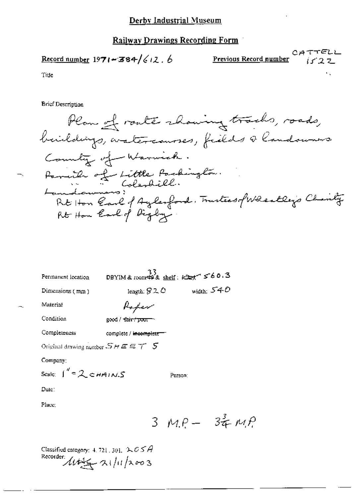$$
\underline{\text{Record number}} 1971 - 384 / 612.6
$$

 $\text{Previous Record number} \begin{array}{ll} \texttt{CATTEL} \\ \texttt{111} \end{array}$ 

Title

**Brief Description** 

Plan of route rhowing tracks, roads, beildings, watercourses, fields a landown . Country of Warwick. Parish of Little Packington.<br>Lamolowians:<br>Rt Hon Carl of Aylesford. Trustees, fWhealley's Charity Rt Hon Carl of Digby.

| Permanent location                         |                                   | DBYIM & room $\overset{33}{\leftrightarrow}$ shelf: $\overset{33}{\leftrightarrow}$ f 60.3 |
|--------------------------------------------|-----------------------------------|--------------------------------------------------------------------------------------------|
| Dimensions (mm)                            | length: $320$                     | width: $540$                                                                               |
| Material                                   | Roper                             |                                                                                            |
| Condition                                  | good / fair / poor                |                                                                                            |
| Completeness                               | complete / i <del>ncomplete</del> |                                                                                            |
| Original drawing number $SHEET$ 5          |                                   |                                                                                            |
| Company:                                   |                                   |                                                                                            |
| Scale: $\int_0^{\pi} = 2 \epsilon H H/N.S$ |                                   | Person:                                                                                    |
| Date"                                      |                                   |                                                                                            |

Place;

 $3 MP - 34 MP$ 

Classified category: 4, 721, 301,  $\mathcal{LCSA}$ Recorder  $114/4$   $2003$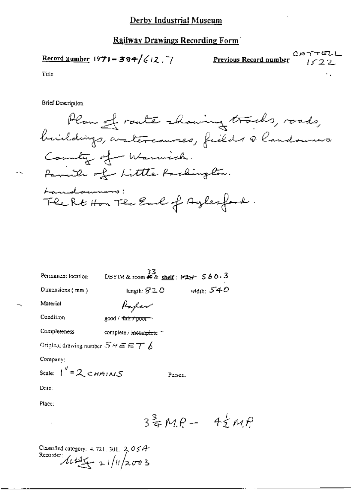$$
\underline{\text{Record number}} 1971 - 384 / 612.7
$$

 $CATTELI$ Previous Record number イイファー

Title

**Brief Description** 

Plan of route showing tracks, roads, buildings, watercourses, fields a landowners. Country of Warnick. Parith of Little Packington. Landaumero: The Rt Hon The Earl of Aylesford.

| Permanent location | 33<br>DBYIM & room #9 & shelf: $\leftarrow$ 560.3 |              |
|--------------------|---------------------------------------------------|--------------|
| Dimensions $(mm)$  | length: $S2C$                                     | width: $540$ |
| Material           | Parker                                            |              |

Condition

|  | $\mathsf{good}/\mathsf{fair} \mathsf{row}$ |  |
|--|--------------------------------------------|--|

Completeness complete / incomplete =

Original drawing number  $SAE \in \mathcal{T}$   $\cancel{b}$ 

Company:

Scale:  $1'' = 2 cm + 10s$ Person.

Date:

Place:

 $3\frac{3}{4}MP - 4\frac{1}{2}MP$ 

Classified category:  $4.721$ ,  $301$ ,  $2.05A$ Recorder  $\frac{\sqrt{1+\frac{3}{2}}}{2} \approx 1/11/2003$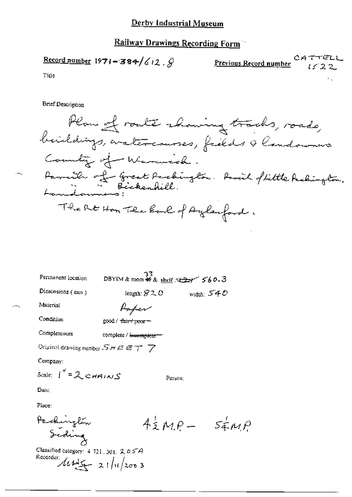Record number 1971 = 384/
$$
\frac{1}{2}
$$
,  $\hat{S}$ 

**Previous Record number** 
$$
1/2
$$

Title

**Brief Description** 

| Permanent location                        | 33.                   | DBYIM & room $\neq$ & shelf $\sqrt{2}$ $\sqrt{60.3}$ |
|-------------------------------------------|-----------------------|------------------------------------------------------|
| Dimensions (mm)                           | length: $820$         | width: $540$                                         |
| Material                                  | Poper                 |                                                      |
| Condition                                 | good / fair / pcorr   |                                                      |
| Completeness                              | complete / innomplete |                                                      |
| Original drawing number $SHEET$ $7$       |                       |                                                      |
| Company:                                  |                       |                                                      |
| Scale: $\int_{0}^{\pi} = 2 \text{cmains}$ |                       | Person:                                              |
| Date:                                     |                       |                                                      |
|                                           |                       |                                                      |

Place:

 $4\frac{1}{2}M.P - 5\frac{1}{4}M.P$ 

Packinglew<br>Scotling<br>Classified category: 4 721, 301, 205A Recorder  $\frac{\sqrt{1+\frac{1}{2}}}{2!}\frac{1}{u}\frac{1}{x^{00}}$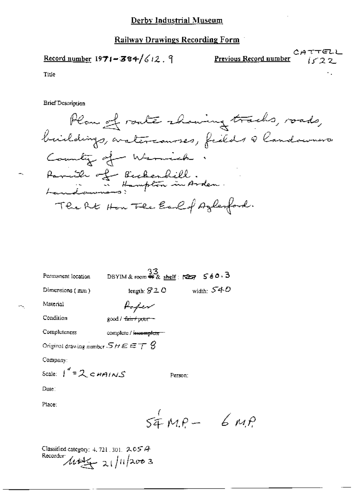$$
\underline{\text{Record number}} 1971 - 384 / 612.9
$$

 $C$ ATTELI Previous Record number

 $\mu_1\rho$ 

Title

**Brief Description** 

Plan of route showing tracks, roads, buildings, araterianses, fields & landaumers. Country of Warnick. Parish of Bicherhill.<br>Landowners: Hampton in Arden. The RE How The Earl of Azlenford.

| Permanent location                                    | 33<br>DBYIM&room 郵& shelf: 「237 560.3 |              |
|-------------------------------------------------------|---------------------------------------|--------------|
| Dimensions (mm)                                       | length: $S2O$                         | width: $540$ |
| Material                                              | fefev                                 |              |
| Condition                                             | good / <del>fair / poor -</del>       |              |
| Completeness                                          | complete / incomplete =               |              |
| Original drawing number - $S$ H $\in$ $\mp$ $\mp$ $S$ |                                       |              |
| Company:                                              |                                       |              |
| Scale: $1'' = 2 cm A/NS$                              | Person:                               |              |
| Date∶                                                 |                                       |              |
| Place:                                                |                                       |              |
|                                                       | $54MP -$                              |              |

Classified category: 4, 721, 301,  $205A$ Recorder  $\mu$ the 21/11/2003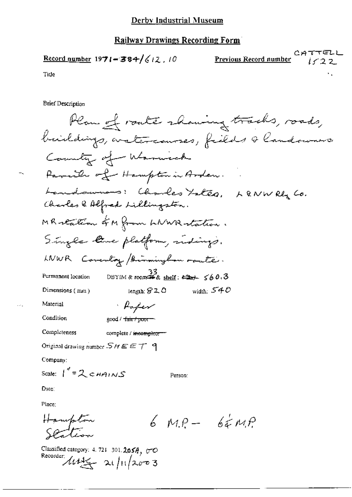$$
\underline{\text{Record number}} 1971 - 384 / \zeta / 2, 10
$$

$$
\underbrace{CATTELL}_{i \leq 2, 2}
$$

Tide

**Brief Description** 

Plan of route showing tracks, roads, buildings, aratercauses, fields & landowns. Cannety of Warnick Parcille of Hampton in Arden. Landownes: Charles Lateg, LaNWRly Co. Charles & Alfred Lillingston. MR reation of M from LNWR station. Single line platform, indings. LNWR Coventry /Binningham route. DBYIM & room  $\frac{33}{4}$  shelf:  $\Longleftrightarrow$   $\leq 60.3$ Permanent location width:  $540$ Dimensions (mm) length:  $92.0$ Material · Paper Condition good / fair / poor-Completeness complete / insomplete-Original drawing number  $SHEET$  9 Company: Scale:  $1'' = 2$  c  $HAN-S$ Person: Date: Place: Hampton<br>Scation  $6mp - 62mp$ 

Classified category: 4, 721-301.205 $A$ ,  $\sigma$ Recorder  $\mathcal{M}$  to  $\frac{1}{2}$  at  $\sqrt{11/2003}$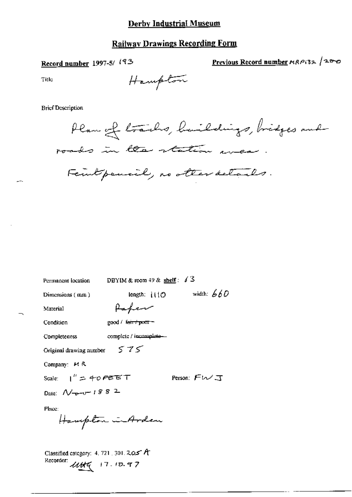### **Railway Drawings Recording Form**

Record number 1997-5/193

Previous Record number MRP132 /200

Title

Hampton

#### **Brief Description**

Plan of trailes, huildings, bridges and roads in the station wear Feuil pensil, no other details.

DBYIM & room 49 & shelf:  $\sqrt{3}$ Permanent location length:  $1110$  width:  $660$ Dimensions (mm) Paper Material good / fearthpoon-Condition complete / incomplete-Completeness  $575$ Original drawing number Company: H R Person: FWJ Scale:  $1'' = 40$   $P$  $E E T$ Date:  $\mathcal{N}_{\overline{p} - \overline{v}}$  1882 Place: Hampton in Arden Classified category: 4, 721, 301, 205 A Recorder:  $\mathcal{U}\mathcal{H}\mathcal{U}$  17.10.97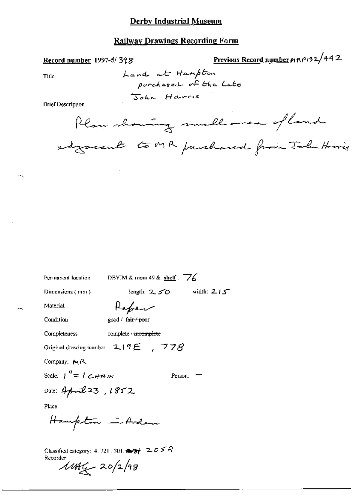## **Railway Drawings Recording Form**

#### Record number 1997-5/398

Title

Land at Hampton purchased of the Late John Harris

**Brief Description** 

Plan showing small mea of land adjournt to MR purchased from John Horris

Previous Record number MRP132/442

| Permanent location             | DBYIM & room 49 & shelf: $\angle 6$                          |
|--------------------------------|--------------------------------------------------------------|
| Dimensions (mm)                | width: $215$<br>length: $2,50$                               |
| Material                       | Rafer                                                        |
| Condition                      | good / fair / poor                                           |
| Completeness                   | complete / <del>incomplete</del>                             |
|                                | Original drawing number $2.19E$ , $778$                      |
| Company: MR                    |                                                              |
| Scale: $1'' = 1 \subset H$ A M | Person:                                                      |
| Date: April 23, 1852           |                                                              |
| Place:                         |                                                              |
| Hampton in Arden               |                                                              |
|                                | Classified category: 4, 721, 301, $\blacktriangle 3 + 2.05A$ |

Recorder<br>11AG 20/2/98